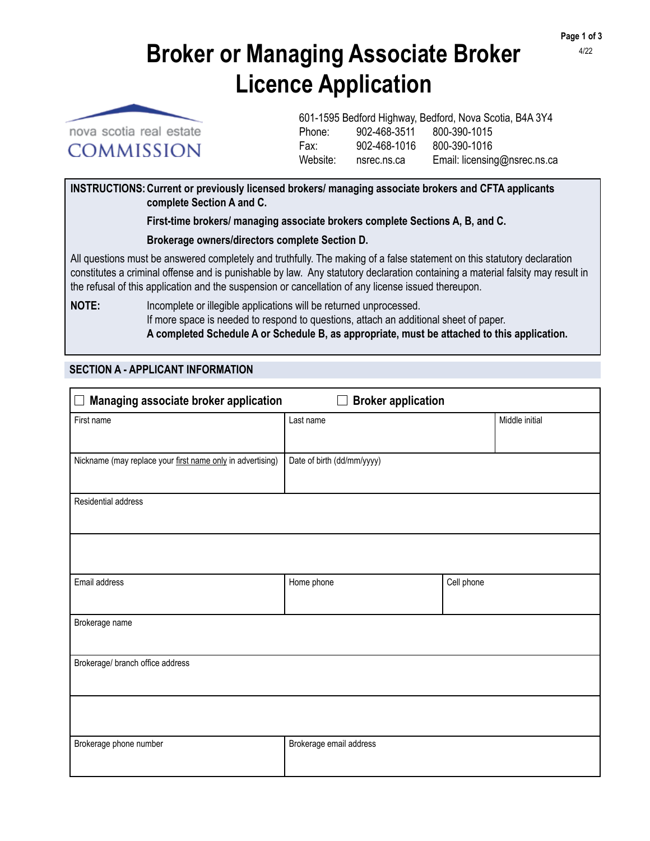**Page 1 of 3** 4/22

# **Broker or Managing Associate Broker Licence Application**



601-1595 Bedford Highway, Bedford, Nova Scotia, B4A 3Y4 Phone: 902-468-3511 800-390-1015 Fax: 902-468-1016 800-390-1016 Website: nsrec.ns.ca Email: licensing@nsrec.ns.ca

**INSTRUCTIONS:Current or previously licensed brokers/ managing associate brokers and CFTA applicants complete Section A and C.**

 **First-time brokers/ managing associate brokers complete Sections A, B, and C.**

 **Brokerage owners/directors complete Section D.**

All questions must be answered completely and truthfully. The making of a false statement on this statutory declaration constitutes a criminal offense and is punishable by law. Any statutory declaration containing a material falsity may result in the refusal of this application and the suspension or cancellation of any license issued thereupon.

**NOTE:** Incomplete or illegible applications will be returned unprocessed. If more space is needed to respond to questions, attach an additional sheet of paper.  **A completed Schedule A or Schedule B, as appropriate, must be attached to this application.**

## **SECTION A - APPLICANT INFORMATION**

| Managing associate broker application<br>$\Box$ Broker application<br>$\mathbb{L}$ |                            |            |                |  |  |  |  |
|------------------------------------------------------------------------------------|----------------------------|------------|----------------|--|--|--|--|
| First name                                                                         | Last name                  |            | Middle initial |  |  |  |  |
|                                                                                    |                            |            |                |  |  |  |  |
| Nickname (may replace your first name only in advertising)                         | Date of birth (dd/mm/yyyy) |            |                |  |  |  |  |
| Residential address                                                                |                            |            |                |  |  |  |  |
|                                                                                    |                            |            |                |  |  |  |  |
|                                                                                    |                            |            |                |  |  |  |  |
| Email address                                                                      | Home phone                 | Cell phone |                |  |  |  |  |
| Brokerage name                                                                     |                            |            |                |  |  |  |  |
| Brokerage/ branch office address                                                   |                            |            |                |  |  |  |  |
|                                                                                    |                            |            |                |  |  |  |  |
| Brokerage phone number                                                             | Brokerage email address    |            |                |  |  |  |  |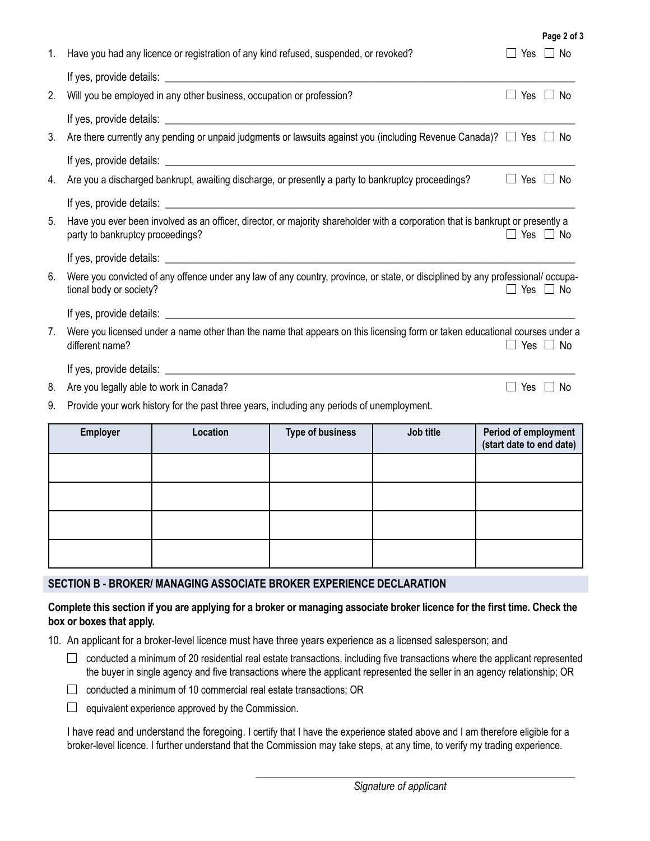| 1. | Have you had any licence or registration of any kind refused, suspended, or revoked?                                                                                                                                                 |                                                                       |                         |           | Yes $\Box$ No                                    |               |  |  |  |
|----|--------------------------------------------------------------------------------------------------------------------------------------------------------------------------------------------------------------------------------------|-----------------------------------------------------------------------|-------------------------|-----------|--------------------------------------------------|---------------|--|--|--|
|    |                                                                                                                                                                                                                                      |                                                                       |                         |           |                                                  |               |  |  |  |
| 2. |                                                                                                                                                                                                                                      | Will you be employed in any other business, occupation or profession? |                         |           |                                                  | Yes $\Box$ No |  |  |  |
|    |                                                                                                                                                                                                                                      |                                                                       |                         |           |                                                  |               |  |  |  |
| 3. | Are there currently any pending or unpaid judgments or lawsuits against you (including Revenue Canada)? $\Box$ Yes $\Box$ No                                                                                                         |                                                                       |                         |           |                                                  |               |  |  |  |
|    |                                                                                                                                                                                                                                      |                                                                       |                         |           |                                                  |               |  |  |  |
| 4. | Are you a discharged bankrupt, awaiting discharge, or presently a party to bankruptcy proceedings?<br>$\Box$ Yes $\Box$ No                                                                                                           |                                                                       |                         |           |                                                  |               |  |  |  |
|    |                                                                                                                                                                                                                                      |                                                                       |                         |           |                                                  |               |  |  |  |
| 5. | Have you ever been involved as an officer, director, or majority shareholder with a corporation that is bankrupt or presently a<br>party to bankruptcy proceedings?<br>$\Box$ Yes $\Box$ No                                          |                                                                       |                         |           |                                                  |               |  |  |  |
|    |                                                                                                                                                                                                                                      |                                                                       |                         |           |                                                  |               |  |  |  |
| 6. | Were you convicted of any offence under any law of any country, province, or state, or disciplined by any professional/ occupa-<br>tional body or society?<br>$\Box$ Yes $\Box$ No                                                   |                                                                       |                         |           |                                                  |               |  |  |  |
|    | If yes, provide details: <u>example and the set of the set of the set of the set of the set of the set of the set of the set of the set of the set of the set of the set of the set of the set of the set of the set of the set </u> |                                                                       |                         |           |                                                  |               |  |  |  |
| 7. | Were you licensed under a name other than the name that appears on this licensing form or taken educational courses under a<br>different name?<br>$\Box$ Yes $\Box$ No                                                               |                                                                       |                         |           |                                                  |               |  |  |  |
|    |                                                                                                                                                                                                                                      |                                                                       |                         |           |                                                  |               |  |  |  |
| 8. | Are you legally able to work in Canada?                                                                                                                                                                                              |                                                                       |                         |           |                                                  | Yes $\Box$ No |  |  |  |
| 9. | Provide your work history for the past three years, including any periods of unemployment.                                                                                                                                           |                                                                       |                         |           |                                                  |               |  |  |  |
|    | <b>Employer</b>                                                                                                                                                                                                                      | Location                                                              | <b>Type of business</b> | Job title | Period of employment<br>(start date to end date) |               |  |  |  |
|    |                                                                                                                                                                                                                                      |                                                                       |                         |           |                                                  |               |  |  |  |
|    |                                                                                                                                                                                                                                      |                                                                       |                         |           |                                                  |               |  |  |  |
|    |                                                                                                                                                                                                                                      |                                                                       |                         |           |                                                  |               |  |  |  |
|    |                                                                                                                                                                                                                                      |                                                                       |                         |           |                                                  |               |  |  |  |

**Page 2 of 3**

## **SECTION B - BROKER/ MANAGING ASSOCIATE BROKER EXPERIENCE DECLARATION**

### **Complete this section if you are applying for a broker or managing associate broker licence for the first time. Check the box or boxes that apply.**

10. An applicant for a broker-level licence must have three years experience as a licensed salesperson; and

- $\Box$  conducted a minimum of 20 residential real estate transactions, including five transactions where the applicant represented the buyer in single agency and five transactions where the applicant represented the seller in an agency relationship; OR
- $\Box$  conducted a minimum of 10 commercial real estate transactions; OR
- $\Box$  equivalent experience approved by the Commission.

I have read and understand the foregoing. I certify that I have the experience stated above and I am therefore eligible for a broker-level licence. I further understand that the Commission may take steps, at any time, to verify my trading experience.

\_\_\_\_\_\_\_\_\_\_\_\_\_\_\_\_\_\_\_\_\_\_\_\_\_\_\_\_\_\_\_\_\_\_\_\_\_\_\_\_\_\_\_\_\_\_\_\_\_\_\_\_\_\_\_\_\_\_\_\_